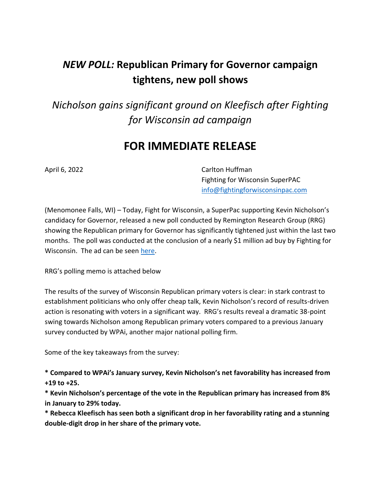# *NEW POLL:* **Republican Primary for Governor campaign tightens, new poll shows**

*Nicholson gains significant ground on Kleefisch after Fighting for Wisconsin ad campaign*

## **FOR IMMEDIATE RELEASE**

April 6, 2022 **Carlton Huffman** Fighting for Wisconsin SuperPAC [info@fightingforwisconsinpac.com](mailto:info@fightingforwisconsinpac.com)

(Menomonee Falls, WI) – Today, Fight for Wisconsin, a SuperPac supporting Kevin Nicholson's candidacy for Governor, released a new poll conducted by Remington Research Group (RRG) showing the Republican primary for Governor has significantly tightened just within the last two months. The poll was conducted at the conclusion of a nearly \$1 million ad buy by Fighting for Wisconsin. The ad can be seen [here.](https://www.youtube.com/watch?v=LlT1m1dCQ0s)

RRG's polling memo is attached below

The results of the survey of Wisconsin Republican primary voters is clear: in stark contrast to establishment politicians who only offer cheap talk, Kevin Nicholson's record of results-driven action is resonating with voters in a significant way. RRG's results reveal a dramatic 38-point swing towards Nicholson among Republican primary voters compared to a previous January survey conducted by WPAi, another major national polling firm.

Some of the key takeaways from the survey:

**\* Compared to WPAi's January survey, Kevin Nicholson's net favorability has increased from +19 to +25.** 

**\* Kevin Nicholson's percentage of the vote in the Republican primary has increased from 8% in January to 29% today.**

**\* Rebecca Kleefisch has seen both a significant drop in her favorability rating and a stunning double-digit drop in her share of the primary vote.**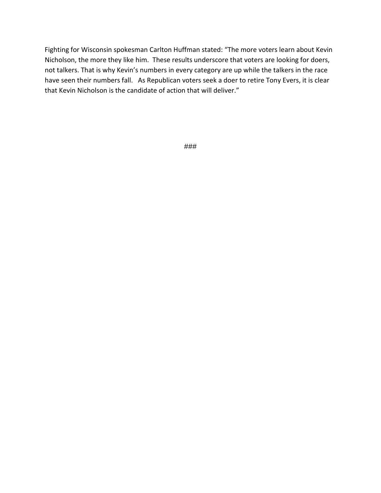Fighting for Wisconsin spokesman Carlton Huffman stated: "The more voters learn about Kevin Nicholson, the more they like him. These results underscore that voters are looking for doers, not talkers. That is why Kevin's numbers in every category are up while the talkers in the race have seen their numbers fall. As Republican voters seek a doer to retire Tony Evers, it is clear that Kevin Nicholson is the candidate of action that will deliver."

###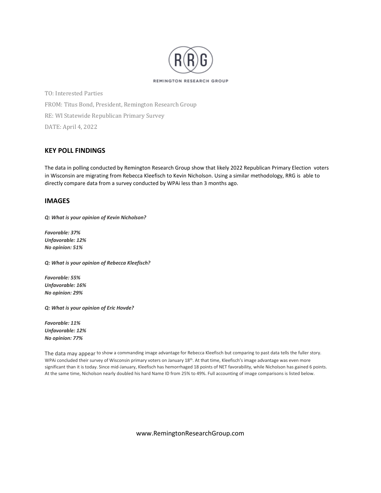

TO: Interested Parties FROM: Titus Bond, President, Remington Research Group RE: WI Statewide Republican Primary Survey DATE: April 4, 2022

### **KEY POLL FINDINGS**

The data in polling conducted by Remington Research Group show that likely 2022 Republican Primary Election voters in Wisconsin are migrating from Rebecca Kleefisch to Kevin Nicholson. Using a similar methodology, RRG is able to directly compare data from a survey conducted by WPAi less than 3 months ago.

#### **IMAGES**

*Q: What is your opinion of Kevin Nicholson?*

*Favorable: 37% Unfavorable: 12% No opinion: 51%*

*Q: What is your opinion of Rebecca Kleefisch?*

*Favorable: 55% Unfavorable: 16% No opinion: 29%*

*Q: What is your opinion of Eric Hovde?*

*Favorable: 11% Unfavorable: 12% No opinion: 77%*

The data may appear to show a commanding image advantage for Rebecca Kleefisch but comparing to past data tells the fuller story. WPAi concluded their survey of Wisconsin primary voters on January 18<sup>th</sup>. At that time, Kleefisch's image advantage was even more significant than it is today. Since mid-January, Kleefisch has hemorrhaged 18 points of NET favorability, while Nicholson has gained 6 points. At the same time, Nicholson nearly doubled his hard Name ID from 25% to 49%. Full accounting of image comparisons is listed below.

www.RemingtonResearchGroup.com